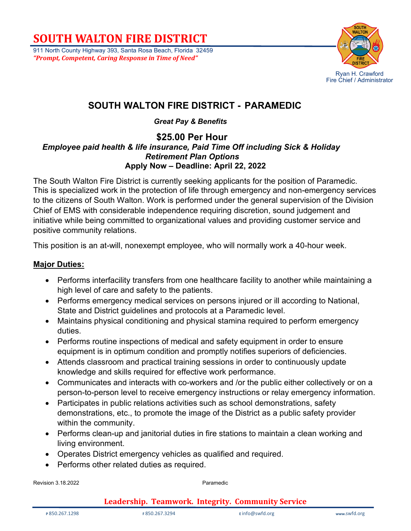911 North County Highway 393, Santa Rosa Beach, Florida 32459 *"Prompt, Competent, Caring Response in Time of Need"*



### **SOUTH WALTON FIRE DISTRICT - PARAMEDIC**

*Great Pay & Benefits*

#### **\$25.00 Per Hour**  *Employee paid health & life insurance, Paid Time Off including Sick & Holiday Retirement Plan Options*  **Apply Now – Deadline: April 22, 2022**

The South Walton Fire District is currently seeking applicants for the position of Paramedic. This is specialized work in the protection of life through emergency and non-emergency services to the citizens of South Walton. Work is performed under the general supervision of the Division Chief of EMS with considerable independence requiring discretion, sound judgement and initiative while being committed to organizational values and providing customer service and positive community relations.

This position is an at-will, nonexempt employee, who will normally work a 40-hour week.

### **Major Duties:**

- Performs interfacility transfers from one healthcare facility to another while maintaining a high level of care and safety to the patients.
- Performs emergency medical services on persons injured or ill according to National, State and District guidelines and protocols at a Paramedic level.
- Maintains physical conditioning and physical stamina required to perform emergency duties.
- Performs routine inspections of medical and safety equipment in order to ensure equipment is in optimum condition and promptly notifies superiors of deficiencies.
- Attends classroom and practical training sessions in order to continuously update knowledge and skills required for effective work performance.
- Communicates and interacts with co-workers and /or the public either collectively or on a person-to-person level to receive emergency instructions or relay emergency information.
- Participates in public relations activities such as school demonstrations, safety demonstrations, etc., to promote the image of the District as a public safety provider within the community.
- Performs clean-up and janitorial duties in fire stations to maintain a clean working and living environment.
- Operates District emergency vehicles as qualified and required.
- Performs other related duties as required.

Revision 3.18.2022 **Paramedic**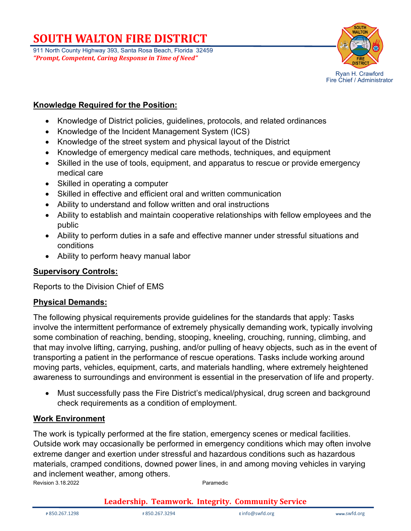911 North County Highway 393, Santa Rosa Beach, Florida 32459 *"Prompt, Competent, Caring Response in Time of Need"*



#### **Knowledge Required for the Position:**

- Knowledge of District policies, guidelines, protocols, and related ordinances
- Knowledge of the Incident Management System (ICS)
- Knowledge of the street system and physical layout of the District
- Knowledge of emergency medical care methods, techniques, and equipment
- Skilled in the use of tools, equipment, and apparatus to rescue or provide emergency medical care
- Skilled in operating a computer
- Skilled in effective and efficient oral and written communication
- Ability to understand and follow written and oral instructions
- Ability to establish and maintain cooperative relationships with fellow employees and the public
- Ability to perform duties in a safe and effective manner under stressful situations and conditions
- Ability to perform heavy manual labor

#### **Supervisory Controls:**

Reports to the Division Chief of EMS

### **Physical Demands:**

The following physical requirements provide guidelines for the standards that apply: Tasks involve the intermittent performance of extremely physically demanding work, typically involving some combination of reaching, bending, stooping, kneeling, crouching, running, climbing, and that may involve lifting, carrying, pushing, and/or pulling of heavy objects, such as in the event of transporting a patient in the performance of rescue operations. Tasks include working around moving parts, vehicles, equipment, carts, and materials handling, where extremely heightened awareness to surroundings and environment is essential in the preservation of life and property.

• Must successfully pass the Fire District's medical/physical, drug screen and background check requirements as a condition of employment.

#### **Work Environment**

Revision 3.18.2022 **Paramedic** The work is typically performed at the fire station, emergency scenes or medical facilities. Outside work may occasionally be performed in emergency conditions which may often involve extreme danger and exertion under stressful and hazardous conditions such as hazardous materials, cramped conditions, downed power lines, in and among moving vehicles in varying and inclement weather, among others.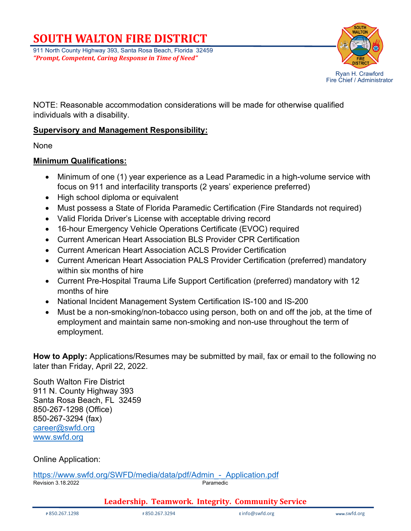911 North County Highway 393, Santa Rosa Beach, Florida 32459 *"Prompt, Competent, Caring Response in Time of Need"*



NOTE: Reasonable accommodation considerations will be made for otherwise qualified individuals with a disability.

#### **Supervisory and Management Responsibility:**

None

#### **Minimum Qualifications:**

- Minimum of one (1) year experience as a Lead Paramedic in a high-volume service with focus on 911 and interfacility transports (2 years' experience preferred)
- High school diploma or equivalent
- Must possess a State of Florida Paramedic Certification (Fire Standards not required)
- Valid Florida Driver's License with acceptable driving record
- 16-hour Emergency Vehicle Operations Certificate (EVOC) required
- Current American Heart Association BLS Provider CPR Certification
- Current American Heart Association ACLS Provider Certification
- Current American Heart Association PALS Provider Certification (preferred) mandatory within six months of hire
- Current Pre-Hospital Trauma Life Support Certification (preferred) mandatory with 12 months of hire
- National Incident Management System Certification IS-100 and IS-200
- Must be a non-smoking/non-tobacco using person, both on and off the job, at the time of employment and maintain same non-smoking and non-use throughout the term of employment.

**How to Apply:** Applications/Resumes may be submitted by mail, fax or email to the following no later than Friday, April 22, 2022.

South Walton Fire District 911 N. County Highway 393 Santa Rosa Beach, FL 32459 850-267-1298 (Office) 850-267-3294 (fax) [career@swfd.org](mailto:career@swfd.org) [www.swfd.org](http://www.swfd.org/)

Online Application:

Paramedic https://www.swfd.org/SWFD/media/data/pdf/Admin - Application.pdf